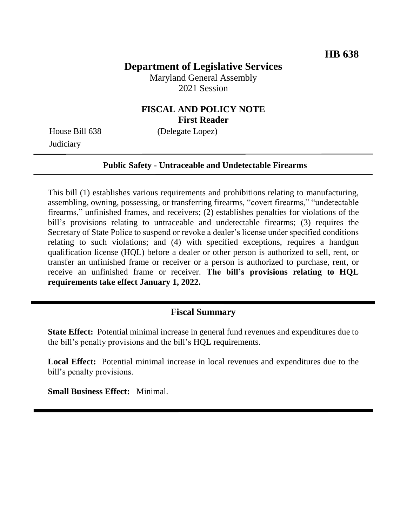# **Department of Legislative Services**

Maryland General Assembly 2021 Session

## **FISCAL AND POLICY NOTE First Reader**

**Judiciary** 

House Bill 638 (Delegate Lopez)

#### **Public Safety - Untraceable and Undetectable Firearms**

This bill (1) establishes various requirements and prohibitions relating to manufacturing, assembling, owning, possessing, or transferring firearms, "covert firearms," "undetectable firearms," unfinished frames, and receivers; (2) establishes penalties for violations of the bill's provisions relating to untraceable and undetectable firearms; (3) requires the Secretary of State Police to suspend or revoke a dealer's license under specified conditions relating to such violations; and (4) with specified exceptions, requires a handgun qualification license (HQL) before a dealer or other person is authorized to sell, rent, or transfer an unfinished frame or receiver or a person is authorized to purchase, rent, or receive an unfinished frame or receiver. **The bill's provisions relating to HQL requirements take effect January 1, 2022.**

## **Fiscal Summary**

**State Effect:** Potential minimal increase in general fund revenues and expenditures due to the bill's penalty provisions and the bill's HQL requirements.

**Local Effect:** Potential minimal increase in local revenues and expenditures due to the bill's penalty provisions.

**Small Business Effect:** Minimal.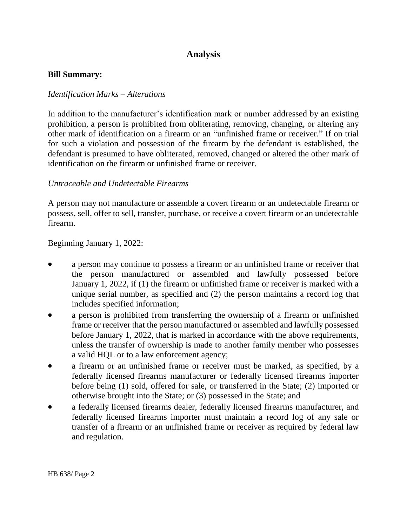# **Analysis**

#### **Bill Summary:**

#### *Identification Marks – Alterations*

In addition to the manufacturer's identification mark or number addressed by an existing prohibition, a person is prohibited from obliterating, removing, changing, or altering any other mark of identification on a firearm or an "unfinished frame or receiver." If on trial for such a violation and possession of the firearm by the defendant is established, the defendant is presumed to have obliterated, removed, changed or altered the other mark of identification on the firearm or unfinished frame or receiver.

#### *Untraceable and Undetectable Firearms*

A person may not manufacture or assemble a covert firearm or an undetectable firearm or possess, sell, offer to sell, transfer, purchase, or receive a covert firearm or an undetectable firearm.

Beginning January 1, 2022:

- a person may continue to possess a firearm or an unfinished frame or receiver that the person manufactured or assembled and lawfully possessed before January 1, 2022, if (1) the firearm or unfinished frame or receiver is marked with a unique serial number, as specified and (2) the person maintains a record log that includes specified information;
- a person is prohibited from transferring the ownership of a firearm or unfinished frame or receiver that the person manufactured or assembled and lawfully possessed before January 1, 2022, that is marked in accordance with the above requirements, unless the transfer of ownership is made to another family member who possesses a valid HQL or to a law enforcement agency;
- a firearm or an unfinished frame or receiver must be marked, as specified, by a federally licensed firearms manufacturer or federally licensed firearms importer before being (1) sold, offered for sale, or transferred in the State; (2) imported or otherwise brought into the State; or (3) possessed in the State; and
- a federally licensed firearms dealer, federally licensed firearms manufacturer, and federally licensed firearms importer must maintain a record log of any sale or transfer of a firearm or an unfinished frame or receiver as required by federal law and regulation.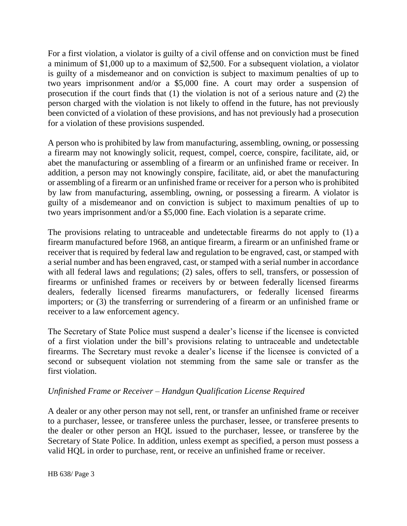For a first violation, a violator is guilty of a civil offense and on conviction must be fined a minimum of \$1,000 up to a maximum of \$2,500. For a subsequent violation, a violator is guilty of a misdemeanor and on conviction is subject to maximum penalties of up to two years imprisonment and/or a \$5,000 fine. A court may order a suspension of prosecution if the court finds that (1) the violation is not of a serious nature and (2) the person charged with the violation is not likely to offend in the future, has not previously been convicted of a violation of these provisions, and has not previously had a prosecution for a violation of these provisions suspended.

A person who is prohibited by law from manufacturing, assembling, owning, or possessing a firearm may not knowingly solicit, request, compel, coerce, conspire, facilitate, aid, or abet the manufacturing or assembling of a firearm or an unfinished frame or receiver. In addition, a person may not knowingly conspire, facilitate, aid, or abet the manufacturing or assembling of a firearm or an unfinished frame or receiver for a person who is prohibited by law from manufacturing, assembling, owning, or possessing a firearm. A violator is guilty of a misdemeanor and on conviction is subject to maximum penalties of up to two years imprisonment and/or a \$5,000 fine. Each violation is a separate crime.

The provisions relating to untraceable and undetectable firearms do not apply to (1) a firearm manufactured before 1968, an antique firearm, a firearm or an unfinished frame or receiver that is required by federal law and regulation to be engraved, cast, or stamped with a serial number and has been engraved, cast, or stamped with a serial number in accordance with all federal laws and regulations; (2) sales, offers to sell, transfers, or possession of firearms or unfinished frames or receivers by or between federally licensed firearms dealers, federally licensed firearms manufacturers, or federally licensed firearms importers; or (3) the transferring or surrendering of a firearm or an unfinished frame or receiver to a law enforcement agency.

The Secretary of State Police must suspend a dealer's license if the licensee is convicted of a first violation under the bill's provisions relating to untraceable and undetectable firearms. The Secretary must revoke a dealer's license if the licensee is convicted of a second or subsequent violation not stemming from the same sale or transfer as the first violation.

### *Unfinished Frame or Receiver – Handgun Qualification License Required*

A dealer or any other person may not sell, rent, or transfer an unfinished frame or receiver to a purchaser, lessee, or transferee unless the purchaser, lessee, or transferee presents to the dealer or other person an HQL issued to the purchaser, lessee, or transferee by the Secretary of State Police. In addition, unless exempt as specified, a person must possess a valid HQL in order to purchase, rent, or receive an unfinished frame or receiver.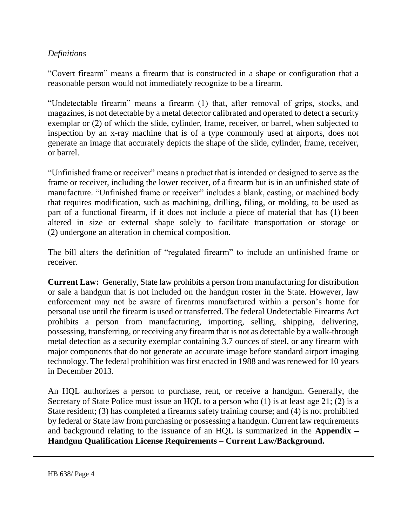## *Definitions*

"Covert firearm" means a firearm that is constructed in a shape or configuration that a reasonable person would not immediately recognize to be a firearm.

"Undetectable firearm" means a firearm (1) that, after removal of grips, stocks, and magazines, is not detectable by a metal detector calibrated and operated to detect a security exemplar or (2) of which the slide, cylinder, frame, receiver, or barrel, when subjected to inspection by an x-ray machine that is of a type commonly used at airports, does not generate an image that accurately depicts the shape of the slide, cylinder, frame, receiver, or barrel.

"Unfinished frame or receiver" means a product that is intended or designed to serve as the frame or receiver, including the lower receiver, of a firearm but is in an unfinished state of manufacture. "Unfinished frame or receiver" includes a blank, casting, or machined body that requires modification, such as machining, drilling, filing, or molding, to be used as part of a functional firearm, if it does not include a piece of material that has (1) been altered in size or external shape solely to facilitate transportation or storage or (2) undergone an alteration in chemical composition.

The bill alters the definition of "regulated firearm" to include an unfinished frame or receiver.

**Current Law:** Generally, State law prohibits a person from manufacturing for distribution or sale a handgun that is not included on the handgun roster in the State. However, law enforcement may not be aware of firearms manufactured within a person's home for personal use until the firearm is used or transferred. The federal Undetectable Firearms Act prohibits a person from manufacturing, importing, selling, shipping, delivering, possessing, transferring, or receiving any firearm that is not as detectable by a walk-through metal detection as a security exemplar containing 3.7 ounces of steel, or any firearm with major components that do not generate an accurate image before standard airport imaging technology. The federal prohibition was first enacted in 1988 and was renewed for 10 years in December 2013.

An HQL authorizes a person to purchase, rent, or receive a handgun. Generally, the Secretary of State Police must issue an HQL to a person who (1) is at least age 21; (2) is a State resident; (3) has completed a firearms safety training course; and (4) is not prohibited by federal or State law from purchasing or possessing a handgun. Current law requirements and background relating to the issuance of an HQL is summarized in the **Appendix – Handgun Qualification License Requirements – Current Law/Background.**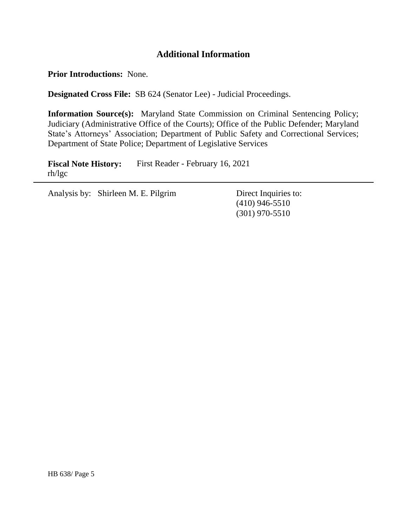# **Additional Information**

**Prior Introductions:** None.

**Designated Cross File:** SB 624 (Senator Lee) - Judicial Proceedings.

**Information Source(s):** Maryland State Commission on Criminal Sentencing Policy; Judiciary (Administrative Office of the Courts); Office of the Public Defender; Maryland State's Attorneys' Association; Department of Public Safety and Correctional Services; Department of State Police; Department of Legislative Services

**Fiscal Note History:** First Reader - February 16, 2021 rh/lgc

Analysis by: Shirleen M. E. Pilgrim Direct Inquiries to:

(410) 946-5510 (301) 970-5510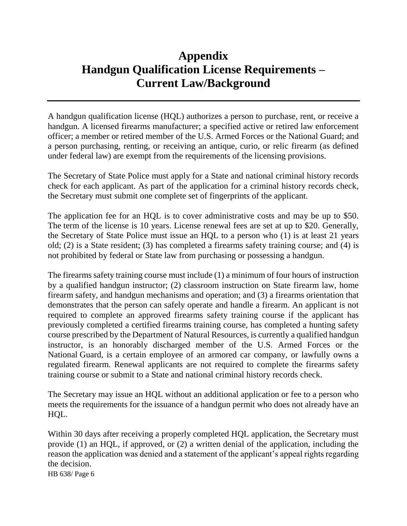# **Appendix Handgun Qualification License Requirements – Current Law/Background**

A handgun qualification license (HQL) authorizes a person to purchase, rent, or receive a handgun. A licensed firearms manufacturer; a specified active or retired law enforcement officer; a member or retired member of the U.S. Armed Forces or the National Guard; and a person purchasing, renting, or receiving an antique, curio, or relic firearm (as defined under federal law) are exempt from the requirements of the licensing provisions.

The Secretary of State Police must apply for a State and national criminal history records check for each applicant. As part of the application for a criminal history records check, the Secretary must submit one complete set of fingerprints of the applicant.

The application fee for an HQL is to cover administrative costs and may be up to \$50. The term of the license is 10 years. License renewal fees are set at up to \$20. Generally, the Secretary of State Police must issue an HQL to a person who (1) is at least 21 years old; (2) is a State resident; (3) has completed a firearms safety training course; and (4) is not prohibited by federal or State law from purchasing or possessing a handgun.

The firearms safety training course must include (1) a minimum of four hours of instruction by a qualified handgun instructor; (2) classroom instruction on State firearm law, home firearm safety, and handgun mechanisms and operation; and (3) a firearms orientation that demonstrates that the person can safely operate and handle a firearm. An applicant is not required to complete an approved firearms safety training course if the applicant has previously completed a certified firearms training course, has completed a hunting safety course prescribed by the Department of Natural Resources, is currently a qualified handgun instructor, is an honorably discharged member of the U.S. Armed Forces or the National Guard, is a certain employee of an armored car company, or lawfully owns a regulated firearm. Renewal applicants are not required to complete the firearms safety training course or submit to a State and national criminal history records check.

The Secretary may issue an HQL without an additional application or fee to a person who meets the requirements for the issuance of a handgun permit who does not already have an HQL.

HB 638/ Page 6 Within 30 days after receiving a properly completed HQL application, the Secretary must provide (1) an HQL, if approved, or (2) a written denial of the application, including the reason the application was denied and a statement of the applicant's appeal rights regarding the decision.